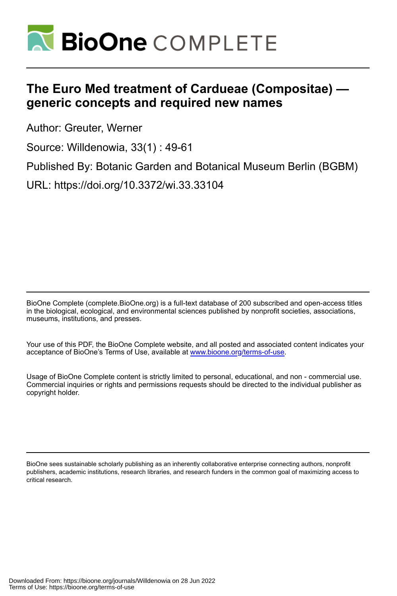

# **The Euro Med treatment of Cardueae (Compositae) generic concepts and required new names**

Author: Greuter, Werner

Source: Willdenowia, 33(1) : 49-61

Published By: Botanic Garden and Botanical Museum Berlin (BGBM)

URL: https://doi.org/10.3372/wi.33.33104

BioOne Complete (complete.BioOne.org) is a full-text database of 200 subscribed and open-access titles in the biological, ecological, and environmental sciences published by nonprofit societies, associations, museums, institutions, and presses.

Your use of this PDF, the BioOne Complete website, and all posted and associated content indicates your acceptance of BioOne's Terms of Use, available at www.bioone.org/terms-of-use.

Usage of BioOne Complete content is strictly limited to personal, educational, and non - commercial use. Commercial inquiries or rights and permissions requests should be directed to the individual publisher as copyright holder.

BioOne sees sustainable scholarly publishing as an inherently collaborative enterprise connecting authors, nonprofit publishers, academic institutions, research libraries, and research funders in the common goal of maximizing access to critical research.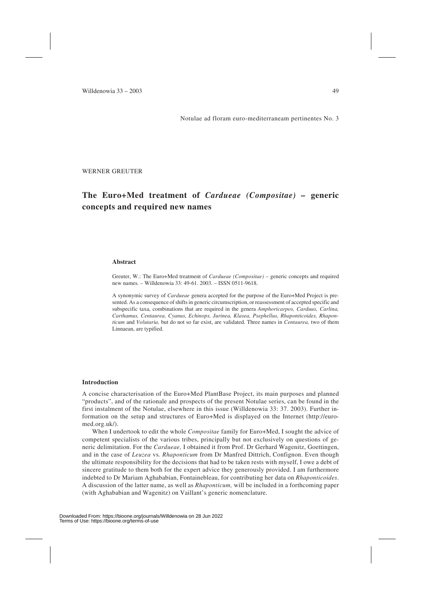Notulae ad floram euro-mediterraneam pertinentes No. 3

WERNER GREUTER

## **The Euro+Med treatment of** *Cardueae (Compositae) –* **generic concepts and required new names**

#### **Abstract**

Greuter, W.: The Euro+Med treatment of *Cardueae (Compositae) –* generic concepts and required new names*. –* Willdenowia 33: 49-61. 2003. – ISSN 0511-9618.

A synonymic survey of *Cardueae* genera accepted for the purpose of the Euro+Med Project is presented. As a consequence of shifts in generic circumscription, or reassessment of accepted specific and subspecific taxa, combinations that are required in the genera *Amphoricarpos, Carduus, Carlina, Carthamus, Centaurea, Cyanus, Echinops, Jurinea, Klasea, Psephellus, Rhaponticoides, Rhaponticum* and *Volutaria,* but do not so far exist, are validated. Three names in *Centaurea,* two of them Linnaean, are typified.

#### **Introduction**

A concise characterisation of the Euro+Med PlantBase Project, its main purposes and planned "products", and of the rationale and prospects of the present Notulae series, can be found in the first instalment of the Notulae, elsewhere in this issue (Willdenowia 33: 37. 2003). Further information on the setup and structures of Euro+Med is displayed on the Internet (http://euromed.org.uk/).

When I undertook to edit the whole *Compositae* family for Euro+Med, I sought the advice of competent specialists of the various tribes, principally but not exclusively on questions of generic delimitation. For the *Cardueae,* I obtained it from Prof. Dr Gerhard Wagenitz, Goettingen, and in the case of *Leuzea* vs*. Rhaponticum* from Dr Manfred Dittrich, Confignon. Even though the ultimate responsibility for the decisions that had to be taken rests with myself, I owe a debt of sincere gratitude to them both for the expert advice they generously provided. I am furthermore indebted to Dr Mariam Aghababian, Fontainebleau, for contributing her data on *Rhaponticoides*. A discussion of the latter name, as well as *Rhaponticum,* will be included in a forthcoming paper (with Aghababian and Wagenitz) on Vaillant's generic nomenclature.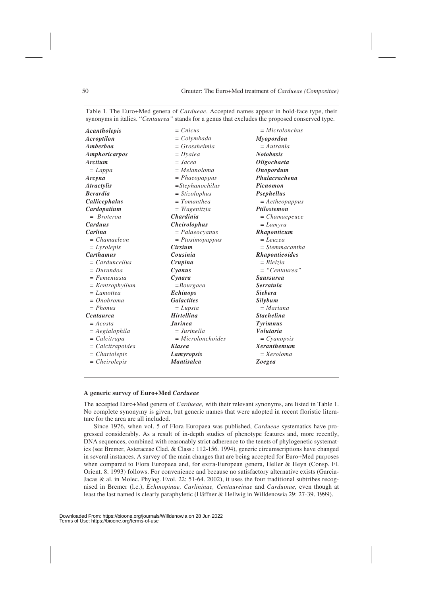| Acantholepis          | $= Cnicus$          | $= Microlonchus$             |  |
|-----------------------|---------------------|------------------------------|--|
| Acroptilon            | $=$ Colymbada       | Myopordon                    |  |
| Amberboa              | $= Grossheimia$     | $=$ Autrania                 |  |
| Amphoricarpos         | $= Hyalea$          | <b>Notobasis</b>             |  |
| Arctium               | $= Jacea$           | Oligochaeta                  |  |
| $= Lappa$             | $= Melanoloma$      | Onopordum                    |  |
| Arcyna                | $= Phaeopappus$     | Phalacrachena                |  |
| <i>Atractylis</i>     | $=$ Stephanochilus  | Picnomon                     |  |
| <b>Berardia</b>       | $= Stizolophus$     | Psephellus                   |  |
| Callicephalus         | $= Tomanthea$       | $= Aetheopappus$             |  |
| Cardopatium           | $= Wagenitzia$      | <b>Ptilostemon</b>           |  |
| $= Broteroa$          | <b>Chardinia</b>    | $=$ Chamaepeuce              |  |
| Carduus               | <b>Cheirolophus</b> | $= Lamyra$                   |  |
| Carlina               | $= Palaeocyanus$    | Rhaponticum                  |  |
| $= Chamaeleon$        | $= P$ tosimopappus  | $= Leuzea$                   |  |
| $= Lycolepis$         | Cirsium             | $=$ Stemmacantha             |  |
| <b>Carthamus</b>      | Cousinia            | <i><b>Rhaponticoides</b></i> |  |
| $= Carduncellus$      | Crupina             | $= Bielzia$                  |  |
| $= Durandoa$          | Cyanus              | $= "Centaurea"$              |  |
| $= Femeniasia$        | Cynara              | <b>Saussurea</b>             |  |
| $=$ Kentrophyllum     | $= Bourgaea$        | <b>Serratula</b>             |  |
| $= Lamottea$          | <b>Echinops</b>     | <b>Siebera</b>               |  |
| $= Onobroma$          | <b>Galactites</b>   | Silybum                      |  |
| $= Phonus$            | $= Lupsia$          | $=$ Mariana                  |  |
| <b>Centaurea</b>      | <b>Hirtellina</b>   | <b>Stachelina</b>            |  |
| $= A \cos t a$        | <b>Jurinea</b>      | <b>Tyrimnus</b>              |  |
| $= Aegialophila$      | $=$ Jurinella       | <b>Volutaria</b>             |  |
| $= \text{Calcitrapa}$ | $= Microlonchoides$ | $= Cyanopsis$                |  |
| $= Calcitrapoides$    | <b>Klasea</b>       | <b>Xeranthemum</b>           |  |
| $= Chartolepis$       | Lamyropsis          | $= Xeroloma$                 |  |
| $= Cheirolepis$       | <b>Mantisalca</b>   | <b>Zoegea</b>                |  |
|                       |                     |                              |  |

Table 1. The Euro+Med genera of *Cardueae*. Accepted names appear in bold-face type, their synonyms in italics. "*Centaurea"* stands for a genus that excludes the proposed conserved type.

#### **A generic survey of Euro+Med** *Cardueae*

The accepted Euro+Med genera of *Cardueae,* with their relevant synonyms, are listed in Table 1. No complete synonymy is given, but generic names that were adopted in recent floristic literature for the area are all included.

Since 1976, when vol. 5 of Flora Europaea was published, *Cardueae* systematics have progressed considerably. As a result of in-depth studies of phenotype features and, more recently, DNA sequences, combined with reasonably strict adherence to the tenets of phylogenetic systematics (see Bremer, Asteraceae Clad. & Class.: 112-156. 1994), generic circumscriptions have changed in several instances. A survey of the main changes that are being accepted for Euro+Med purposes when compared to Flora Europaea and, for extra-European genera, Heller & Heyn (Consp. Fl. Orient. 8. 1993) follows. For convenience and because no satisfactory alternative exists (Garcia-Jacas & al. in Molec. Phylog. Evol. 22: 51-64. 2002), it uses the four traditional subtribes recognised in Bremer (l.c.), *Echinopinae, Carlininae, Centaureinae* and *Carduinae,* even though at least the last named is clearly paraphyletic (Häffner & Hellwig in Willdenowia 29: 27-39. 1999).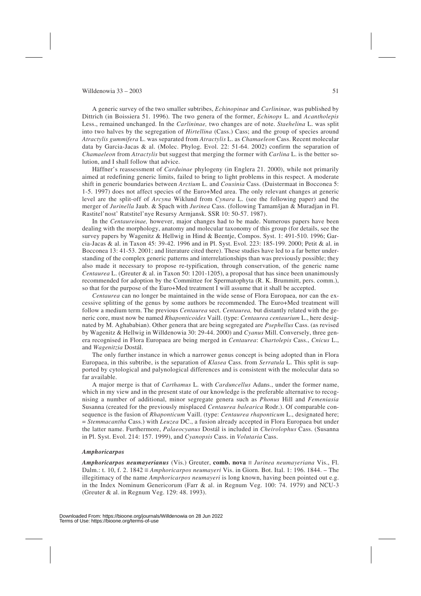A generic survey of the two smaller subtribes, *Echinopinae* and *Carlininae,* was published by Dittrich (in Boissiera 51. 1996). The two genera of the former, *Echinops* L. and *Acantholepis* Less., remained unchanged. In the *Carlininae,* two changes are of note. *Staehelina* L. was split into two halves by the segregation of *Hirtellina* (Cass.) Cass; and the group of species around *Atractylis gummifera* L. was separated from *Atractylis* L. as *Chamaeleon* Cass. Recent molecular data by Garcia-Jacas & al. (Molec. Phylog. Evol. 22: 51-64. 2002) confirm the separation of *Chamaeleon* from *Atractylis* but suggest that merging the former with *Carlina* L. is the better solution, and I shall follow that advice.

Häffner's reassessment of *Carduinae* phylogeny (in Englera 21. 2000), while not primarily aimed at redefining generic limits, failed to bring to light problems in this respect. A moderate shift in generic boundaries between *Arctium* L. and *Cousinia* Cass. (Duistermaat in Bocconea 5: 1-5. 1997) does not affect species of the Euro+Med area. The only relevant changes at generic level are the split-off of *Arcyna* Wiklund from *Cynara* L. (see the following paper) and the merger of *Jurinella* Jaub. & Spach with *Jurinea* Cass. (following Tamamšjan & Muradjan in Fl. Rastitel'nost' Ratstitel'nye Resursy Armjansk. SSR 10: 50-57. 1987).

In the *Centaureinae,* however, major changes had to be made. Numerous papers have been dealing with the morphology, anatomy and molecular taxonomy of this group (for details, see the survey papers by Wagenitz & Hellwig in Hind & Beentje, Compos. Syst. 1: 491-510. 1996; Garcia-Jacas & al. in Taxon 45: 39-42. 1996 and in Pl. Syst. Evol. 223: 185-199. 2000; Petit & al. in Bocconea 13: 41-53. 2001; and literature cited there). These studies have led to a far better understanding of the complex generic patterns and interrelationships than was previously possible; they also made it necessary to propose re-typification, through conservation, of the generic name *Centaurea* L. (Greuter & al. in Taxon 50: 1201-1205), a proposal that has since been unanimously recommended for adoption by the Committee for Spermatophyta (R. K. Brummitt, pers. comm.), so that for the purpose of the Euro+Med treatment I will assume that it shall be accepted.

*Centaurea* can no longer be maintained in the wide sense of Flora Europaea, nor can the excessive splitting of the genus by some authors be recommended. The Euro+Med treatment will follow a medium term. The previous *Centaurea* sect. *Centaurea,* but distantly related with the generic core, must now be named *Rhaponticoides* Vaill. (type: *Centaurea centaurium* L., here designated by M. Aghababian). Other genera that are being segregated are *Psephellus* Cass. (as revised by Wagenitz & Hellwig in Willdenowia 30: 29-44. 2000) and *Cyanus* Mill. Conversely, three genera recognised in Flora Europaea are being merged in *Centaurea*: *Chartolepis* Cass., *Cnicus* L., and *Wagenitzia* Dostál.

The only further instance in which a narrower genus concept is being adopted than in Flora Europaea, in this subtribe, is the separation of *Klasea* Cass. from *Serratula* L. This split is supported by cytological and palynological differences and is consistent with the molecular data so far available.

A major merge is that of *Carthamus* L. with *Carduncellus* Adans., under the former name, which in my view and in the present state of our knowledge is the preferable alternative to recognising a number of additional, minor segregate genera such as *Phonus* Hill and *Femeniasia* Susanna (created for the previously misplaced *Centaurea balearica* Rodr.). Of comparable consequence is the fusion of *Rhaponticum* Vaill. (type: *Centaurea rhaponticum* L., designated here; = *Stemmacantha* Cass.) with *Leuzea* DC., a fusion already accepted in Flora Europaea but under the latter name. Furthermore, *Palaeocyanus* Dostál is included in *Cheirolophus* Cass. (Susanna in Pl. Syst. Evol. 214: 157. 1999), and *Cyanopsis* Cass. in *Volutaria* Cass.

#### *Amphoricarpos*

*Amphoricarpos neumayerianus* (Vis.) Greuter, **comb. nova**  $\equiv$  *Jurinea neumayeriana* Vis., Fl. Dalm.: t. 10, f. 2. 1842  $\equiv$  *Amphoricarpos neumayeri* Vis. in Giorn. Bot. Ital. 1: 196. 1844. – The illegitimacy of the name *Amphoricarpos neumayeri* is long known, having been pointed out e.g. in the Index Nominum Genericorum (Farr & al. in Regnum Veg. 100: 74. 1979) and NCU-3 (Greuter & al. in Regnum Veg. 129: 48. 1993).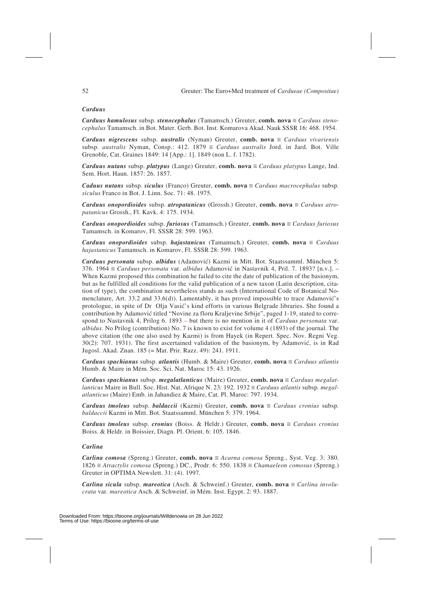### *Carduus*

*Carduus hamulosus* subsp. *stenocephalus* (Tamamsch.) Greuter, **comb.** nova  $\equiv$  *Carduus stenocephalus* Tamamsch. in Bot. Mater. Gerb. Bot. Inst. Komarova Akad. Nauk SSSR 16: 468. 1954.

*Carduus nigrescens* subsp. *australis* (Nyman) Greuter, **comb. nova**  $\equiv$  *Carduus vivariensis* subsp. *australis* Nyman, Consp.: 412. 1879  $\equiv$  *Carduus australis* Jord. in Jard. Bot. Ville Grenoble, Cat. Graines 1849: 14 [App.: 1]. 1849 (non L. f. 1782).

*Carduus nutans* subsp. *platypus* (Lange) Greuter, **comb. nova**  $\equiv$  *Carduus platypus* Lange, Ind. Sem. Hort. Haun. 1857: 26. 1857.

*Caduus nutans* subsp. *siculus* (Franco) Greuter, **comb. nova**  $\equiv$  *Carduus macrocephalus* subsp. *siculus* Franco in Bot. J. Linn. Soc. 71: 48. 1975.

*Carduus onopordioides* subsp. *atropatanicus* (Grossh.) Greuter, **comb.** nova  $\equiv$  *Carduus atropatanicus* Grossh., Fl. Kavk. 4: 175. 1934.

*Carduus onopordioides* subsp. *furiosus* (Tamamsch.) Greuter, **comb.** nova  $\equiv$  *Carduus furiosus* Tamamsch. in Komarov, Fl. SSSR 28: 599. 1963.

*Carduus onopordioides* subsp. *hajastanicus* (Tamamsch.) Greuter, **comb.** nova  $\equiv$  *Carduus hajastanicus* Tamamsch. in Komarov, Fl. SSSR 28: 599. 1963.

*Carduus personata* subsp. *albidus* (Adamovi6) Kazmi in Mitt. Bot. Staatssamml. München 5: 376. 1964 û *Carduus personata* var. *albidus* Adamovi6 in Nastavnik 4, Pril. 7. 1893? [n.v.]. – When Kazmi proposed this combination he failed to cite the date of publication of the basionym, but as he fulfilled all conditions for the valid publication of a new taxon (Latin description, citation of type), the combination nevertheless stands as such (International Code of Botanical Nomenclature, Art. 33.2 and 33.6(d)). Lamentably, it has proved impossible to trace Adamović's protologue, in spite of Dr Olja Vasić's kind efforts in various Belgrade libraries. She found a contribution by Adamović titled "Novine za floru Kraljevine Srbije", paged 1-19, stated to correspond to Nastavnik 4, Prilog 6. 1893 – but there is no mention in it of *Carduus personata* var. *albidus*. No Prilog (contribution) No. 7 is known to exist for volume 4 (1893) of the journal. The above citation (the one also used by Kazmi) is from Hayek (in Repert. Spec. Nov. Regni Veg.  $30(2)$ : 707. 1931). The first ascertained validation of the basionym, by Adamović, is in Rad Jugosl. Akad. Znan. 185 (= Mat. Prir. Razz. 49): 241. 1911.

*Carduus spachianus* subsp. *atlantis* (Humb. & Maire) Greuter, **comb. nova**  $\equiv$  *Carduus atlantis* Humb. & Maire in Mém. Soc. Sci. Nat. Maroc 15: 43. 1926.

*Carduus spachianus* subsp. *megalatlanticus* (Maire) Greuter, **comb. nova**  $\equiv$  *Carduus megalatlanticus* Maire in Bull. Soc. Hist. Nat. Afrique N. 23: 192. 1932  $\equiv$  *Carduus atlantis* subsp. *megalatlanticus* (Maire) Emb. in Jahandiez & Maire, Cat. Pl. Maroc: 797. 1934.

*Carduus tmoleus* subsp. *baldaccii* (Kazmi) Greuter, **comb. nova**  $\equiv$  *Carduus cronius* subsp. *baldaccii* Kazmi in Mitt. Bot. Staatssamml. München 5: 379. 1964.

*Carduus tmoleus* subsp. *cronius* (Boiss. & Heldr.) Greuter, **comb. nova**  $\equiv$  *Carduus cronius* Boiss. & Heldr. in Boissier, Diagn. Pl. Orient. 6: 105. 1846.

#### *Carlina*

*Carlina comosa* (Spreng.) Greuter, **comb. nova**  $\equiv$  *Acarna comosa* Spreng., Syst. Veg. 3: 380.  $1826 \equiv$  *Atractylis comosa* (Spreng.) DC., Prodr. 6: 550. 1838  $\equiv$  *Chamaeleon comosus* (Spreng.) Greuter in OPTIMA Newslett. 31: (4). 1997.

*Carlina sicula subsp. mareotica* (Asch. & Schweinf.) Greuter, **comb. nova**  $\equiv$  *Carlina involucrata* var*. mareotica* Asch. & Schweinf. in Mém. Inst. Egypt. 2: 93. 1887.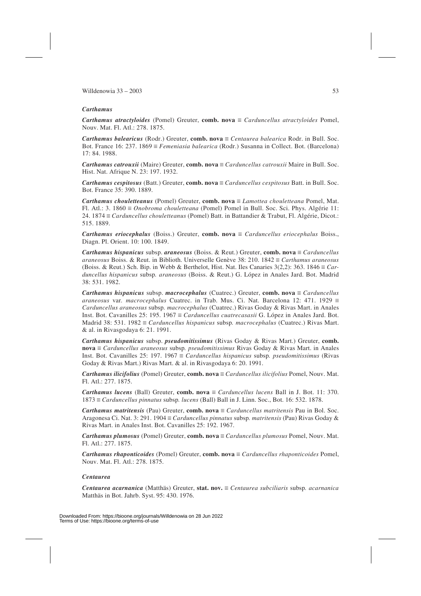### *Carthamus*

*Carthamus atractyloides* (Pomel) Greuter, **comb.** nova  $\equiv$  *Carduncellus atractyloides* Pomel, Nouv. Mat. Fl. Atl.: 278. 1875.

*Carthamus balearicus* (Rodr.) Greuter, **comb. nova**  $\equiv$  *Centaurea balearica* Rodr. in Bull. Soc. Bot. France 16: 237. 1869 *= Femeniasia balearica* (Rodr.) Susanna in Collect. Bot. (Barcelona) 17: 84. 1988.

*Carthamus catrouxii* (Maire) Greuter, **comb. nova**  $\equiv$  *Carduncellus catrouxii* Maire in Bull. Soc. Hist. Nat. Afrique N. 23: 197. 1932.

*Carthamus cespitosus* (Batt.) Greuter, **comb. nova**  $\equiv$  *Carduncellus cespitosus* Batt. in Bull. Soc. Bot. France 35: 390. 1889.

*Carthamus chouletteanus* (Pomel) Greuter, **comb. nova** ≡ *Lamottea chouletteana* Pomel, Mat. Fl. Atl.: 3.  $1860 \equiv *Onobroma chouletteana* (Pomel) Pomel in Bull. Soc. Sci. Phys. Algérie 11:$ 24. 1874 û *Carduncellus chouletteanus* (Pomel) Batt. in Battandier & Trabut, Fl. Algérie, Dicot.: 515. 1889.

*Carthamus eriocephalus* (Boiss.) Greuter, **comb.** nova  $\equiv$  *Carduncellus eriocephalus* Boiss., Diagn. Pl. Orient. 10: 100. 1849.

*Carthamus hispanicus* subsp. *araneosus* (Boiss. & Reut.) Greuter, **comb.** nova  $\equiv$  *Carduncellus araneosus* Boiss. & Reut. in Biblioth. Universelle Genève 38: 210. 1842  $\equiv$  *Carthamus araneosus* (Boiss. & Reut.) Sch. Bip. in Webb & Berthelot, Hist. Nat. Iles Canaries  $3(2,2)$ :  $363. 1846 \equiv Car$ *duncellus hispanicus* subsp*. araneosus* (Boiss. & Reut.) G. López in Anales Jard. Bot. Madrid 38: 531. 1982.

*Carthamus hispanicus* subsp. *macrocephalus* (Cuatrec.) Greuter, **comb.** nova  $\equiv$  *Carduncellus araneosus* var. *macrocephalus* Cuatrec. in Trab. Mus. Ci. Nat. Barcelona 12: 471. 1929  $\equiv$ *Carduncellus araneosus* subsp*. macrocephalus* (Cuatrec.) Rivas Goday & Rivas Mart. in Anales Inst. Bot. Cavanilles  $25: 195. 1967 \equiv \text{Carduncellus cuatrecaas}$  G. López in Anales Jard. Bot. Madrid 38: 531. 1982 *= Carduncellus hispanicus* subsp. macrocephalus (Cuatrec.) Rivas Mart. & al. in Rivasgodaya 6: 21. 1991.

*Carthamus hispanicus* subsp. *pseudomitissimus* (Rivas Goday & Rivas Mart.) Greuter, **comb. nova**  $\equiv$  *Carduncellus araneosus* subsp. *pseudomitissimus* Rivas Goday & Rivas Mart. in Anales Inst. Bot. Cavanilles 25: 197. 1967 = *Carduncellus hispanicus* subsp. *pseudomitissimus* (Rivas Goday & Rivas Mart.) Rivas Mart. & al. in Rivasgodaya 6: 20. 1991.

*Carthamus ilicifolius* (Pomel) Greuter, **comb. nova**  $\equiv$  *Carduncellus ilicifolius* Pomel, Nouv. Mat. Fl. Atl.: 277. 1875.

*Carthamus lucens* (Ball) Greuter, **comb. nova**  $\equiv$  *Carduncellus lucens* Ball in J. Bot. 11: 370. 1873 û *Carduncellus pinnatus* subsp*. lucens* (Ball) Ball in J. Linn. Soc., Bot. 16: 532. 1878.

*Carthamus matritensis* (Pau) Greuter, **comb. nova**  $\equiv$  *Carduncellus matritensis* Pau in Bol. Soc. Aragonesa Ci. Nat. 3: 291. 1904 û *Carduncellus pinnatus* subsp*. matritensis* (Pau) Rivas Goday & Rivas Mart. in Anales Inst. Bot. Cavanilles 25: 192. 1967.

*Carthamus plumosus* (Pomel) Greuter, **comb. nova**  $\equiv$  *Carduncellus plumosus* Pomel, Nouv. Mat. Fl. Atl.: 277. 1875.

*Carthamus rhaponticoides* (Pomel) Greuter, **comb.** nova  $\equiv$  *Carduncellus rhaponticoides* Pomel, Nouv. Mat. Fl. Atl.: 278. 1875.

#### *Centaurea*

*Centaurea acarnanica* (Matthäs) Greuter, **stat. nov.** û *Centaurea subciliaris* subsp*. acarnanica* Matthäs in Bot. Jahrb. Syst. 95: 430. 1976.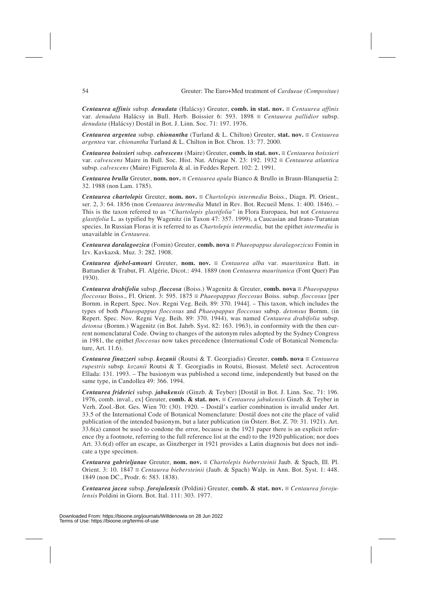*Centaurea affinis* subsp. *denudata* (Halácsy) Greuter, **comb. in stat. nov.**  $\equiv$  *Centaurea affinis* var. *denudata* Halácsy in Bull. Herb. Boissier 6: 593. 1898  $\equiv$  *Centaurea pallidior* subsp. *denudata* (Halácsy) Dostál in Bot. J. Linn. Soc. 71: 197. 1976.

*Centaurea argentea* subsp. *chionantha* (Turland & L. Chilton) Greuter, **stat.** nov.  $\equiv$  *Centaurea argentea* var. *chionantha* Turland & L. Chilton in Bot. Chron. 13: 77. 2000.

*Centaurea boissieri* subsp. *calvescens* (Maire) Greuter, **comb. in stat. nov.**  $\equiv$  *Centaurea boissieri* var. *calvescens* Maire in Bull. Soc. Hist. Nat. Afrique N. 23: 192. 1932 = *Centaurea atlantica* subsp. *calvescens* (Maire) Figuerola & al. in Feddes Repert. 102: 2. 1991.

*Centaurea brulla* Greuter, **nom.** nov.  $\equiv$  *Centaurea apula* Bianco & Brullo in Braun-Blanquetia 2: 32. 1988 (non Lam. 1785).

*Centaurea chartolepis* Greuter, **nom.** nov.  $\equiv$  *Chartolepis intermedia* Boiss., Diagn. Pl. Orient., ser. 2, 3: 64. 1856 (non *Centaurea intermedia* Mutel in Rev. Bot. Recueil Mens. 1: 400. 1846). – This is the taxon referred to as *"Chartolepis glastifolia"* in Flora Europaea, but not *Centaurea glastifolia* L. as typified by Wagenitz (in Taxon 47: 357. 1999), a Caucasian and Irano-Turanian species. In Russian Floras it is referred to as *Chartolepis intermedia,* but the epithet *intermedia* is unavailable in *Centaurea*.

*Centaurea daralagoezica* (Fomin) Greuter, **comb. nova**  $\equiv$  *Phaeopappus daralagoezicus* Fomin in Izv. Kavkazsk. Muz. 3: 282. 1908.

*Centaurea djebel-amouri* Greuter, nom. nov.  $\equiv$  *Centaurea alba* var. *mauritanica* Batt. in Battandier & Trabut, Fl. Algérie, Dicot.: 494. 1889 (non *Centaurea mauritanica* (Font Quer) Pau 1930).

*Centaurea drabifolia* subsp. *floccosa* (Boiss.) Wagenitz & Greuter, **comb. nova**  $\equiv$  *Phaeopappus floccosus* Boiss., Fl. Orient. 3: 595.  $1875 \equiv *Phaeopappus*$  *floccosus* Boiss. subsp. *floccosus* [per Bornm. in Repert. Spec. Nov. Regni Veg. Beih. 89: 370. 1944]. – This taxon, which includes the types of both *Phaeopappus floccosus* and *Phaeopappus floccosus* subsp. *detonsus* Bornm. (in Repert. Spec. Nov. Regni Veg. Beih. 89: 370. 1944), was named *Centaurea drabifolia* subsp. *detonsa* (Bornm.) Wagenitz (in Bot. Jahrb. Syst. 82: 163. 1963), in conformity with the then current nomenclatural Code. Owing to changes of the autonym rules adopted by the Sydney Congress in 1981, the epithet *floccosus* now takes precedence (International Code of Botanical Nomenclature, Art. 11.6).

*Centaurea finazzeri* subsp.  $kozanii$  (Routsi & T. Georgiadis) Greuter, **comb. nova**  $\equiv$  *Centaurea rupestris* subsp*. kozanii* Routsi & T. Georgiadis in Routsi, Biosust. Meletê sect. Acrocentron Ellada: 131. 1993. – The basionym was published a second time, independently but based on the same type, in Candollea 49: 366. 1994.

*Centaurea friderici* subsp. *jabukensis* (Ginzb. & Teyber) [Dostál in Bot. J. Linn. Soc. 71: 196. 1976, comb. inval., ex] Greuter, **comb. & stat. nov.**  $\equiv$  *Centaurea jabukensis* Ginzb. & Teyber in Verh. Zool.-Bot. Ges. Wien 70: (30). 1920. – Dostál's earlier combination is invalid under Art. 33.5 of the International Code of Botanical Nomenclature: Dostál does not cite the place of valid publication of the intended basionym, but a later publication (in Österr. Bot. Z. 70: 31. 1921). Art. 33.6(a) cannot be used to condone the error, because in the 1921 paper there is an explicit reference (by a footnote, referring to the full reference list at the end) to the 1920 publication; nor does Art. 33.6(d) offer an escape, as Ginzberger in 1921 provides a Latin diagnosis but does not indicate a type specimen.

*Centaurea gabrieljanae* Greuter, **nom. nov.** û *Chartolepis biebersteinii* Jaub. & Spach, Ill. Pl. Orient. 3: 10. 1847  $\equiv$  *Centaurea biebersteinii* (Jaub. & Spach) Walp. in Ann. Bot. Syst. 1: 448. 1849 (non DC., Prodr. 6: 583. 1838).

*Centaurea jacea* subsp. *forojulensis* (Poldini) Greuter, **comb. & stat. nov.**  $\equiv$  *Centaurea forojulensis* Poldini in Giorn. Bot. Ital. 111: 303. 1977.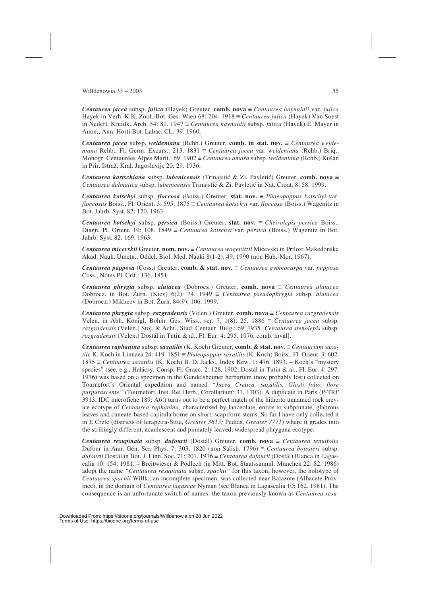*Centaurea jacea* subsp. *julica* (Hayek) Greuter, **comb. nova** û *Centaurea haynaldii* var*. julica* Hayek in Verh. K.K. Zool.-Bot. Ges. Wien 68: 204. 1918  $\equiv$  *Centaurea julica* (Hayek) Van Soest in Nederl. Kruidk. Arch. 54: 81. 1947  $\equiv$  *Centaurea haynaldii* subsp. *julica* (Hayek) E. Mayer in Anon., Ann. Horti Bot. Labac. CL: 39. 1960.

*Centaurea jacea subsp. weldeniana* (Rchb.) Greuter, **comb. in stat. nov.**  $\equiv$  *Centaurea weldeniana* Rchb., Fl. Germ. Excurs.: 213. 1831  $\equiv$  *Centaurea jacea* var. *weldeniana* (Rchb.) Brig., Monogr. Centaurées Alpes Marit.: 69. 1902  $\equiv$  *Centaurea amara* subsp. *weldeniana* (Rchb.) Kušan in Prir. Istraž. Kral. Jugoslavije 20: 29. 1936.

*Centaurea kartschiana* subsp. *lubenicensis* (Trinajstić & Zi. Pavletić) Greuter, **comb.** nova  $\equiv$ *Centaurea dalmatica* subsp. *lubenicensis* Trinajsti6 & Zi. Pavleti6 in Nat. Croat. 8: 58. 1999.

*Centaurea kotschyi* subsp. *floccosa* (Boiss.) Greuter, **stat. nov.**  $\equiv$  *Phaeopappus kotschyi* var. *floccosus* Boiss., Fl. Orient. 3: 595. 1875  $\equiv$  *Centaurea kotschyi* var. *floccosa* (Boiss.) Wagenitz in Bot. Jahrb. Syst. 82: 170. 1963.

*Centaurea kotschyi* subsp. *persica* (Boiss.) Greuter, **stat. nov.** û *Cheirolepis persica* Boiss., Diagn. Pl. Orient. 10: 108. 1849  $\equiv$  *Centaurea kotschyi* var. *persica* (Boiss.) Wagenitz in Bot. Jahrb. Syst. 82: 169. 1963.

*Centaurea micevskii* Greuter, **nom. nov.** û *Centaurea wagenitzii* Micevski in Prilozi Makedonska Akad. Nauk. Umetn., Oddel. Biol. Med. Nauki 8(1-2): 49. 1990 (non Hub.-Mor. 1967).

*Centaurea papposa* (Coss.) Greuter, **comb. & stat. nov.** ≡ *Centaurea gymnocarpa* var. *papposa* Coss., Notes Pl. Crit.: 136. 1851.

*Centaurea phrygia* subsp. *alutacea* (Dobrocz.) Greuter, **comb.** nova  $\equiv$  *Centaurea alutacea* Dobrocz. in Bot. Žurn. (Kiev)  $6(2)$ : 74. 1949  $\equiv$  *Centaurea pseudophrygia* subsp. *alutacea* (Dobrocz.) Mikheev in Bot. Zurn. 84(9): 106. 1999.

*Centaurea phrygia* subsp. *razgradensis* (Velen.) Greuter, **comb.** nova  $\equiv$  *Centaurea razgradensis* Velen. in Abh. Königl. Böhm. Ges. Wiss., ser. 7, 1(8): 25. 1886  $\equiv$  *Centaurea jacea* subsp. *razgradensis* (Velen.) Stoj. & Acht., Stud. Centaur. Bulg.: 69. 1935 [*Centaurea stenolepis* subsp*. razgradensis* (Velen.) Dostál in Tutin & al., Fl. Eur. 4: 295. 1976, comb. inval].

*Centaurea raphanina* subsp. *saxatilis* (K. Koch) Greuter, **comb. & stat. nov.** ≡ *Centaurium saxatile* K. Koch in Linnaea 24: 419. 1851  $\equiv$  *Phaeopappus saxatilis* (K. Koch) Boiss., Fl. Orient. 3: 602.  $1875 \equiv$  *Centaurea saxatilis* (K. Koch) B. D. Jacks., Index Kew. 1: 476. 1893. – Koch's "mystery species" (see, e.g., Halácsy, Consp. Fl. Graec. 2: 128. 1902; Dostál in Tutin & al., Fl. Eur. 4: 297. 1976) was based on a specimen in the Gundelsheimer herbarium (now probably lost) collected on Tournefort's Oriental expedition and named *"Jacea Cretica, saxatilis, Glasti folio, flore purpurascente"* (Tournefort, Inst. Rei Herb., Corollarium: 31. 1703). A duplicate in Paris (P-TRF 3913; IDC microfiche 189: A6!) turns out to be a perfect match of the hitherto unnamed rock crevice ecotype of *Centaurea raphanina,* characterised by lanceolate, entire to subpinnate, glabrous leaves and cuneate-based capitula borne on short, scapiform stems. So far I have only collected it in E Crete (districts of Ierapetra-Sitia, *Greuter 3615;* Pedias, *Greuter 7771*) where it grades into the strikingly different, acaulescent and pinnately leaved, widespread phrygana ecotype.

*Centaurea resupinata* subsp. *dufourii* (Dostál) Greuter, **comb.** nova  $\equiv$  *Centaurea tenuifolia* Dufour in Ann. Gén. Sci. Phys. 7: 303. 1820 (non Salisb. 1796)  $\equiv$  *Centaurea boissieri* subsp. *dufourii* Dostál in Bot. J. Linn. Soc. 71: 201. 1976 ≡ *Centaurea dufourii* (Dostál) Blanca in Lagascalia 10: 154. 1981. – Breitwieser & Podlech (in Mitt. Bot. Staatssamml. München 22: 82. 1986) adopt the name *"Centaurea resupinata* subsp. *spachii"* for this taxon; however, the holotype of *Centaurea spachii* Willk., an incomplete specimen, was collected near Balazote (Albacete Province), in the domain of *Centaurea lagascae* Nyman (see Blanca in Lagascalia 10: 162. 1981). The consequence is an unfortunate switch of names: the taxon previously known as *Centaurea resu-*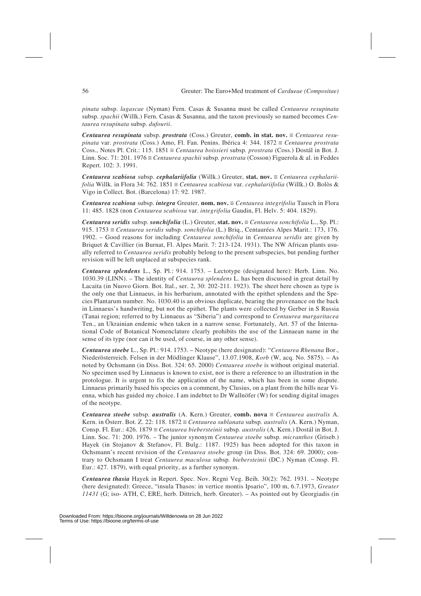*pinata* subsp. *lagascae* (Nyman) Fern. Casas & Susanna must be called *Centaurea resupinata* subsp. *spachii* (Willk.) Fern. Casas & Susanna, and the taxon previously so named becomes *Centaurea resupinata* subsp. *dufourii*.

*Centaurea resupinata* subsp. *prostrata* (Coss.) Greuter, **comb. in stat. nov.**  $\equiv$  *Centaurea resupinata* var. *prostrata* (Coss.) Amo, Fl. Fan. Penins. Ibérica 4: 344. 1872  $\equiv$  *Centaurea prostrata* Coss., Notes Pl. Crit.: 115. 1851  $\equiv$  *Centaurea boissieri* subsp. *prostrata* (Coss.) Dostál in Bot. J. Linn. Soc. 71: 201. 1976 *= Centaurea spachii* subsp. *prostrata* (Cosson) Figuerola & al. in Feddes Repert. 102: 3. 1991.

*Centaurea scabiosa subsp. cephalariifolia* (Willk.) Greuter, **stat. nov.** ≡ *Centaurea cephalariifolia* Willk. in Flora 34: 762. 1851  $\equiv$  *Centaurea scabiosa* var. *cephalariifolia* (Willk.) O. Bolòs & Vigo in Collect. Bot. (Barcelona) 17: 92. 1987.

*Centaurea scabiosa subsp. integra Greuter, nom. nov.*  $\equiv$  *Centaurea integrifolia* Tausch in Flora 11: 485. 1828 (non *Centaurea scabiosa* var. *integrifolia* Gaudin, Fl. Helv. 5: 404. 1829).

*Centaurea seridis* subsp. *sonchifolia* (L.) Greuter, stat. nov.  $\equiv$  *Centaurea sonchifolia* L., Sp. Pl.: 915. 1753 û *Centaurea seridis* subsp. *sonchifolia* (L.) Briq., Centaurées Alpes Marit.: 173, 176. 1902. – Good reasons for including *Centaurea sonchifolia* in *Centaurea seridis* are given by Briquet & Cavillier (in Burnat, Fl. Alpes Marit. 7: 213-124. 1931). The NW African plants usually referred to *Centaurea seridis* probably belong to the present subspecies, but pending further revision will be left unplaced at subspecies rank.

*Centaurea splendens* L., Sp. Pl.: 914. 1753. – Lectotype (designated here): Herb. Linn. No. 1030.39 (LINN). – The identity of *Centaurea splendens* L. has been discussed in great detail by Lacaita (in Nuovo Giorn. Bot. Ital., ser. 2, 30: 202-211. 1923). The sheet here chosen as type is the only one that Linnaeus, in his herbarium, annotated with the epithet splendens and the Species Plantarum number. No. 1030.40 is an obvious duplicate, bearing the provenance on the back in Linnaeus's handwriting, but not the epithet. The plants were collected by Gerber in S Russia (Tanai region; referred to by Linnaeus as "Siberia") and correspond to *Centaurea margaritacea* Ten., an Ukrainian endemic when taken in a narrow sense. Fortunately, Art. 57 of the International Code of Botanical Nomenclature clearly prohibits the use of the Linnaean name in the sense of its type (nor can it be used, of course, in any other sense).

*Centaurea stoebe* L., Sp. Pl.: 914. 1753. – Neotype (here designated): "*Centaurea Rhenana* Bor., Niederösterreich. Felsen in der Mödlinger Klause", 13.07.1908, *Korb* (W, acq. No. 5875). – As noted by Ochsmann (in Diss. Bot. 324: 65. 2000) *Centaurea stoebe* is without original material. No specimen used by Linnaeus is known to exist, nor is there a reference to an illustration in the protologue. It is urgent to fix the application of the name, which has been in some dispute. Linnaeus primarily based his species on a comment, by Clusius, on a plant from the hills near Vienna, which has guided my choice. I am indebtet to Dr Wallnöfer (W) for sending digital images of the neotype.

*Centaurea stoebe* subsp. *australis* (A. Kern.) Greuter, **comb. nova**  $\equiv$  *Centaurea australis* A. Kern. in Österr. Bot. Z. 22: 118. 1872  $\equiv$  *Centaurea sublanata* subsp. *australis* (A. Kern.) Nyman, Consp. Fl. Eur.: 426. 1879  $\equiv$  *Centaurea biebersteinii* subsp. *australis* (A. Kern.) Dostál in Bot. J. Linn. Soc. 71: 200. 1976. – The junior synonym *Centaurea stoebe* subsp*. micranthos* (Griseb.) Hayek (in Stojanov & Stefanov, Fl. Bulg.: 1187. 1925) has been adopted for this taxon in Ochsmann's recent revision of the *Centaurea stoebe* group (in Diss. Bot. 324: 69. 2000); contrary to Ochsmann I treat *Centaurea maculosa* subsp*. biebersteinii* (DC.) Nyman (Consp. Fl. Eur.: 427. 1879), with equal priority, as a further synonym.

*Centaurea thasia* Hayek in Repert. Spec. Nov. Regni Veg. Beih. 30(2): 762. 1931. – Neotype (here designated): Greece, "insula Thasos: in vertice montis Ipsario", 100 m, 6.7.1973, *Greuter 11431* (G; iso- ATH, C, ERE, herb. Dittrich, herb. Greuter). – As pointed out by Georgiadis (in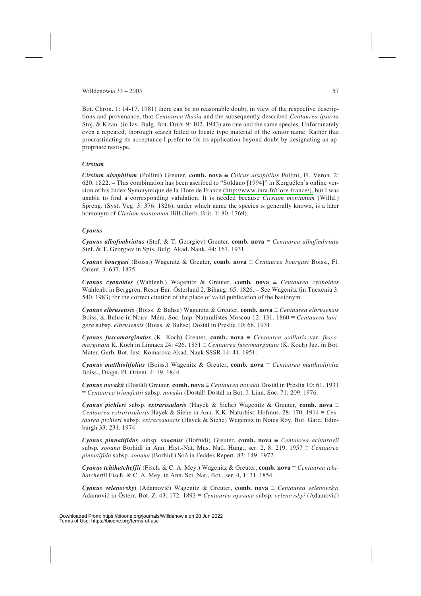Bot. Chron. 1: 14-17. 1981) there can be no reasonable doubt, in view of the respective descriptions and provenance, that *Centaurea thasia* and the subsequently described *Centaurea ipsaria* Stoj. & Kitan. (in Izv. Bulg. Bot. Druz. 9: 102. 1943) are one and the same species. Unfortunately even a repeated, thorough search failed to locate type material of the senior name. Rather that procrastinating its acceptance I prefer to fix its application beyond doubt by designating an appropriate neotype.

### *Cirsium*

*Cirsium alsophilum* (Pollini) Greuter, **comb. nova**  $\equiv$  *Cnicus alsophilus* Pollini, Fl. Veron. 2: 620. 1822. – This combination has been ascribed to "Soldano [1994]" in Kerguélen's online version of his Index Synonymique de la Flore de France [\(http://www.inra.fr/flore-france/\),](http://www.inra.fr/flore-france/) but I was unable to find a corresponding validation. It is needed because *Cirsium montanum* (Willd.) Spreng. (Syst. Veg. 3: 376. 1826), under which name the species is generally known, is a later homonym of *Cirsium montanum* Hill (Herb. Brit. 1: 80. 1769).

## *Cyanus*

*Cyanus albofimbriatus* (Stef. & T. Georgiev) Greuter, **comb.** nova  $\equiv$  *Centaurea albofimbriata* Stef. & T. Georgiev in Spis. Bulg. Akad. Nauk. 44: 167. 1931.

*Cyanus bourgaei* (Boiss.) Wagenitz & Greuter, **comb. nova**  $\equiv$  *Centaurea bourgaei* Boiss., Fl. Orient. 3: 637. 1875.

*Cyanus cyanoides* (Wahlenb.) Wagenitz & Greuter, **comb.** nova  $\equiv$  *Centaurea cyanoides* Wahlenb. in Berggren, Resor Eur. Österland 2, Bihang: 65. 1826. – See Wagenitz (in Tuexenia 3: 540. 1983) for the correct citation of the place of valid publication of the basionym.

*Cyanus elbrusensis* (Boiss. & Buhse) Wagenitz & Greuter, **comb. nova** û *Centaurea elbrusensis* Boiss. & Buhse in Nouv. Mém. Soc. Imp. Naturalistes Moscou 12: 131. 1860 = *Centaurea lanigera* subsp*. elbrusensis* (Boiss. & Buhse) Dostál in Preslia 10: 68. 1931.

*Cyanus fuscomarginatus* (K. Koch) Greuter, **comb.** nova  $\equiv$  *Centaurea axillaris* var. *fuscomarginata* K. Koch in Linnaea 24: 426. 1851  $\equiv$  *Centaurea fuscomarginata* (K. Koch) Juz. in Bot. Mater. Gerb. Bot. Inst. Komarova Akad. Nauk SSSR 14: 41. 1951.

*Cyanus matthiolifolius* (Boiss.) Wagenitz & Greuter, **comb.** nova  $\equiv$  *Centaurea matthiolifolia* Boiss., Diagn. Pl. Orient. 4: 19. 1844.

*Cyanus novakii* (Dostál) Greuter, **comb. nova**  $\equiv$  *Centaurea novakii* Dostál in Preslia 10: 61. 1931 û *Centaurea triumfettii* subsp*. novakii* (Dostál) Dostál in Bot. J. Linn. Soc. 71: 209. 1976.

*Cyanus pichleri* subsp. *extrarosularis* (Hayek & Siehe) Wagenitz & Greuter, **comb.** nova  $\equiv$ *Centaurea extrarosularis* Hayek & Siehe in Ann. K.K. Naturhist. Hofmus. 28: 170. 1914  $\equiv$  *Centaurea pichleri* subsp*. extrarosularis* (Hayek & Siehe) Wagenitz in Notes Roy. Bot. Gard. Edinburgh 33: 231. 1974.

 $C$ yanus pinnatifidus subsp. *sooanus* (Borhidi) Greuter, **comb. nova**  $\equiv$  *Centaurea achtarovii* subsp. sooana Borhidi in Ann. Hist.-Nat. Mus. Natl. Hung., ser. 2, 8: 219. 1957  $\equiv$  *Centaurea pinnatifida* subsp*. sooana* (Borhidi) Soó in Feddes Repert. 83: 149. 1972.

*Cyanus tchihatcheffii* (Fisch. & C. A. Mey.) Wagenitz & Greuter, **comb.** nova  $\equiv$  *Centaurea tchihatcheffii* Fisch. & C. A. Mey. in Ann. Sci. Nat., Bot., ser. 4, 1: 31. 1854.

*Cyanus velenovskyi* (Adamovi6) Wagenitz & Greuter, **comb. nova** û *Centaurea velenovskyi* Adamović in Österr. Bot. Z. 43: 172. 1893 = Centaurea nyssana subsp. velenovskyi (Adamović)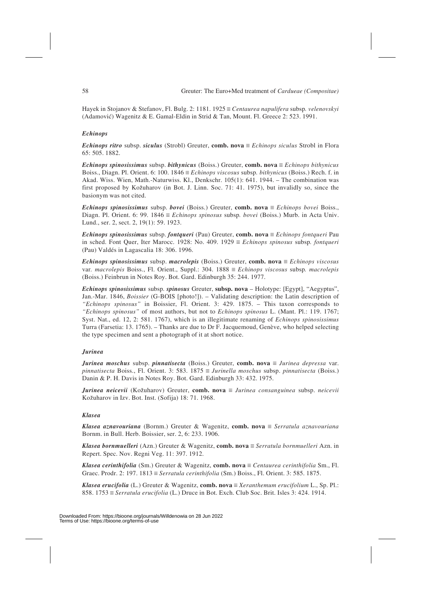Hayek in Stojanov & Stefanov, Fl. Bulg. 2: 1181. 1925 = Centaurea napulifera subsp. velenovskyi (Adamovi6) Wagenitz & E. Gamal-Eldin in Strid & Tan, Mount. Fl. Greece 2: 523. 1991.

### *Echinops*

*Echinops ritro* subsp. *siculus* (Strobl) Greuter, **comb.** nova  $\equiv$  *Echinops siculus* Strobl in Flora 65: 505. 1882.

*Echinops spinosissimus* subsp. *bithynicus* (Boiss.) Greuter, **comb.** nova  $\equiv$  *Echinops bithynicus* Boiss., Diagn. Pl. Orient. 6: 100.  $1846 \equiv Echinops$  *viscosus* subsp. *bithynicus* (Boiss.) Rech. f. in Akad. Wiss. Wien, Math.-Naturwiss. Kl., Denkschr. 105(1): 641. 1944. – The combination was first proposed by Kozuharov (in Bot. J. Linn. Soc. 71: 41. 1975), but invalidly so, since the basionym was not cited.

*Echinops spinosissimus* subsp. *bovei* (Boiss.) Greuter, **comb.** nova  $\equiv$  *Echinops bovei* Boiss., Diagn. Pl. Orient. 6: 99. 1846  $\equiv$  *Echinops spinosus* subsp. *bovei* (Boiss.) Murb. in Acta Univ. Lund., ser. 2, sect. 2, 19(1): 59. 1923.

*Echinops spinosissimus* subsp. *fontqueri* (Pau) Greuter, **comb.** nova  $\equiv$  *Echinops fontqueri* Pau in sched. Font Quer, Iter Marocc. 1928: No. 409. 1929  $\equiv$  *Echinops spinosus* subsp. *fontqueri* (Pau) Valdés in Lagascalia 18: 306. 1996.

*Echinops spinosissimus* subsp. *macrolepis* (Boiss.) Greuter, **comb.** nova  $\equiv$  *Echinops viscosus* var. *macrolepis* Boiss., Fl. Orient., Suppl.: 304. 1888  $\equiv$  *Echinops viscosus* subsp. *macrolepis* (Boiss.) Feinbrun in Notes Roy. Bot. Gard. Edinburgh 35: 244. 1977.

*Echinops spinosissimus* subsp. *spinosus* Greuter, **subsp. nova** – Holotype: [Egypt], "Aegyptus", Jan.-Mar. 1846, *Boissier* (G-BOIS [photo!]). – Validating description: the Latin description of *"Echinops spinosus"* in Boissier, Fl. Orient. 3: 429. 1875. – This taxon corresponds to *"Echinops spinosus"* of most authors, but not to *Echinops spinosus* L. (Mant. Pl.: 119. 1767; Syst. Nat., ed. 12, 2: 581. 1767), which is an illegitimate renaming of *Echinops spinosissimus* Turra (Farsetia: 13. 1765). – Thanks are due to Dr F. Jacquemoud, Genève, who helped selecting the type specimen and sent a photograph of it at short notice.

## *Jurinea*

*Jurinea moschus* subsp. *pinnatisecta* (Boiss.) Greuter, **comb. nova**  $\equiv$  *Jurinea depressa* var. *pinnatisecta* Boiss., Fl. Orient. 3: 583. 1875  $\equiv$  *Jurinella moschus* subsp. *pinnatisecta* (Boiss.) Danin & P. H. Davis in Notes Roy. Bot. Gard. Edinburgh 33: 432. 1975.

*Jurinea neicevii* (Kožuharov) Greuter, **comb. nova**  $\equiv$  *Jurinea consanguinea* subsp. *neicevii* Kozuharov in Izv. Bot. Inst. (Sofija) 18: 71. 1968.

#### *Klasea*

*Klasea aznavouriana* (Bornm.) Greuter & Wagenitz, **comb. nova** û *Serratula aznavouriana* Bornm. in Bull. Herb. Boissier, ser. 2, 6: 233. 1906.

*Klasea bornmuelleri* (Azn.) Greuter & Wagenitz, **comb. nova**  $\equiv$  *Serratula bornmuelleri* Azn. in Repert. Spec. Nov. Regni Veg. 11: 397. 1912.

*Klasea cerinthifolia* (Sm.) Greuter & Wagenitz, **comb. nova**  $\equiv$  *Centaurea cerinthifolia* Sm., Fl. Graec. Prodr. 2: 197.  $1813 \equiv \text{Serratula}$  cerinthifolia (Sm.) Boiss., Fl. Orient. 3: 585. 1875.

*Klasea erucifolia* (L.) Greuter & Wagenitz, **comb. nova** = *Xeranthemum erucifolium* L., Sp. Pl.: 858. 1753  $\equiv$  *Serratula erucifolia* (L.) Druce in Bot. Exch. Club Soc. Brit. Isles 3: 424. 1914.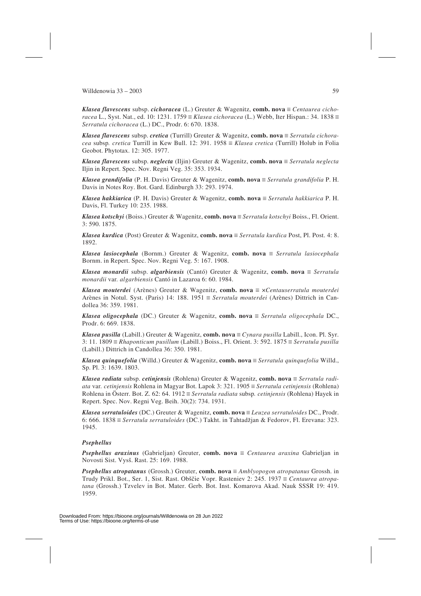*Klasea flavescens* subsp. *cichoracea* (L.) Greuter & Wagenitz, **comb.** nova ≡ *Centaurea cichoracea* L., Syst. Nat., ed. 10: 1231. 1759  $\equiv$  *Klasea cichoracea* (L.) Webb, Iter Hispan.: 34. 1838  $\equiv$ *Serratula cichoracea* (L.) DC., Prodr. 6: 670. 1838.

*Klasea flavescens* subsp. *cretica* (Turrill) Greuter & Wagenitz, **comb. nova** ≡ *Serratula cichoracea* subsp. *cretica* Turrill in Kew Bull. 12: 391. 1958  $\equiv$  *Klasea cretica* (Turrill) Holub in Folia Geobot. Phytotax. 12: 305. 1977.

*Klasea flavescens* subsp. *neglecta* (Iljin) Greuter & Wagenitz, **comb.** nova  $\equiv$  *Serratula neglecta* Iljin in Repert. Spec. Nov. Regni Veg. 35: 353. 1934.

*Klasea grandifolia* (P. H. Davis) Greuter & Wagenitz, **comb. nova**  $\equiv$  *Serratula grandifolia* P. H. Davis in Notes Roy. Bot. Gard. Edinburgh 33: 293. 1974.

*Klasea hakkiarica* (P. H. Davis) Greuter & Wagenitz, **comb. nova**  $\equiv$  *Serratula hakkiarica* P. H. Davis, Fl. Turkey 10: 235. 1988.

*Klasea kotschyi* (Boiss.) Greuter & Wagenitz, **comb. nova** = *Serratula kotschyi* Boiss., Fl. Orient. 3: 590. 1875.

*Klasea kurdica* (Post) Greuter & Wagenitz, **comb. nova**  $\equiv$  *Serratula kurdica* Post, Pl. Post. 4: 8. 1892.

*Klasea lasiocephala* (Bornm.) Greuter & Wagenitz, **comb.** nova  $\equiv$  *Serratula lasiocephala* Bornm. in Repert. Spec. Nov. Regni Veg. 5: 167. 1908.

*Klasea monardii* subsp. *algarbiensis* (Cantó) Greuter & Wagenitz, **comb.** nova  $\equiv$  *Serratula monardii* var*. algarbiensis* Cantó in Lazaroa 6: 60. 1984.

*Klasea mouterdei* (Arènes) Greuter & Wagenitz, **comb. nova**  $\equiv \times$ *Centauserratula mouterdei* Arènes in Notul. Syst. (Paris) 14: 188. 1951  $\equiv$  *Serratula mouterdei* (Arènes) Dittrich in Candollea 36: 359. 1981.

*Klasea oligocephala* (DC.) Greuter & Wagenitz, **comb.** nova  $\equiv$  *Serratula oligocephala* DC., Prodr. 6: 669. 1838.

*Klasea pusilla* (Labill.) Greuter & Wagenitz, **comb. nova**  $\equiv$  *Cynara pusilla* Labill., Icon. Pl. Syr. 3: 11. 1809  $\equiv$  *Rhaponticum pusillum* (Labill.) Boiss., Fl. Orient. 3: 592. 1875  $\equiv$  *Serratula pusilla* (Labill.) Dittrich in Candollea 36: 350. 1981.

*Klasea quinquefolia* (Willd.) Greuter & Wagenitz, **comb. nova** = *Serratula quinquefolia* Willd., Sp. Pl. 3: 1639. 1803.

*Klasea radiata* subsp. *cetinjensis* (Rohlena) Greuter & Wagenitz, **comb. nova** = *Serratula radiata* var. *cetinjensis* Rohlena in Magyar Bot. Lapok 3: 321. 1905  $\equiv$  *Serratula cetinjensis* (Rohlena) Rohlena in Österr. Bot. Z. 62: 64. 1912 ≡ *Serratula radiata* subsp. *cetinjensis* (Rohlena) Hayek in Repert. Spec. Nov. Regni Veg. Beih. 30(2): 734. 1931.

*Klasea serratuloides* (DC.) Greuter & Wagenitz, **comb. nova**  $\equiv$  *Leuzea serratuloides* DC., Prodr. 6: 666. 1838 û *Serratula serratuloides* (DC.) Takht. in Tahtadzjan & Fedorov, Fl. Erevana: 323. 1945.

## *Psephellus*

*Psephellus araxinus* (Gabrieljan) Greuter, **comb. nova**  $\equiv$  *Centaurea araxina* Gabrieljan in Novosti Sist. Vyss. Rast. 25: 169. 1988.

*Psephellus atropatanus* (Grossh.) Greuter, **comb. nova**  $\equiv$  *Amblyopogon atropatanus* Grossh. in Trudy Prikl. Bot., Ser. 1, Sist. Rast. Obščie Vopr. Rasteniev 2: 245. 1937 = *Centaurea atropatana* (Grossh.) Tzvelev in Bot. Mater. Gerb. Bot. Inst. Komarova Akad. Nauk SSSR 19: 419. 1959.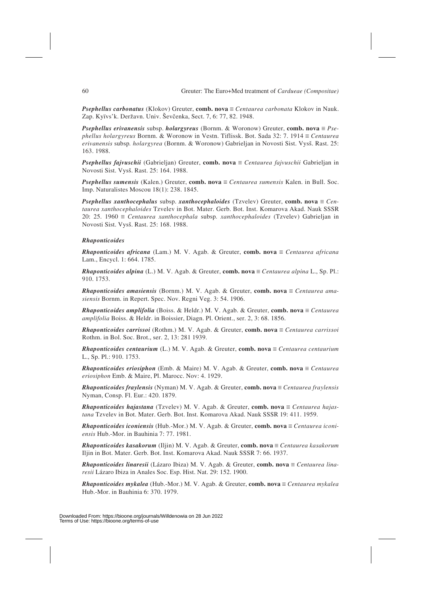*Psephellus carbonatus* (Klokov) Greuter, **comb. nova** ≡ *Centaurea carbonata* Klokov in Nauk. Zap. Kyïvs'k. Deržavn. Univ. Ševčenka, Sect. 7, 6: 77, 82. 1948.

*Psephellus erivanensis* subsp. *holargyreus* (Bornm. & Woronow) Greuter, **comb.** nova  $\equiv Pse$ *phellus holargyreus* Bornm. & Woronow in Vestn. Tiflissk. Bot. Sada 32: 7. 1914 = Centaurea *erivanensis* subsp*. holargyrea* (Bornm. & Woronow) Gabrieljan in Novosti Sist. Vyss. Rast. 25: 163. 1988.

*Psephellus fajvuschii* (Gabrieljan) Greuter, **comb. nova**  $\equiv$  *Centaurea fajvuschii* Gabrieljan in Novosti Sist. Vyss. Rast. 25: 164. 1988.

*Psephellus sumensis* (Kalen.) Greuter, **comb. nova**  $\equiv$  *Centaurea sumensis* Kalen. in Bull. Soc. Imp. Naturalistes Moscou 18(1): 238. 1845.

*Psephellus xanthocephalus* subsp. *xanthocephaloides* (Tzvelev) Greuter, **comb.** nova  $\equiv$  *Centaurea xanthocephaloides* Tzvelev in Bot. Mater. Gerb. Bot. Inst. Komarova Akad. Nauk SSSR 20: 25. 1960 û *Centaurea xanthocephala* subsp*. xanthocephaloides* (Tzvelev) Gabrieljan in Novosti Sist. Vyss. Rast. 25: 168. 1988.

#### *Rhaponticoides*

*Rhaponticoides africana* (Lam.) M. V. Agab. & Greuter, **comb. nova**  $\equiv$  *Centaurea africana* Lam., Encycl. 1: 664. 1785.

*Rhaponticoides alpina* (L.) M. V. Agab. & Greuter, **comb.** nova  $\equiv$  *Centaurea alpina* L., Sp. Pl.: 910. 1753.

*Rhaponticoides amasiensis* (Bornm.) M. V. Agab. & Greuter, **comb. nova**  $\equiv$  *Centaurea amasiensis* Bornm. in Repert. Spec. Nov. Regni Veg. 3: 54. 1906.

*Rhaponticoides amplifolia* (Boiss. & Heldr.) M. V. Agab. & Greuter, **comb. nova**  $\equiv$  *Centaurea amplifolia* Boiss. & Heldr. in Boissier, Diagn. Pl. Orient., ser. 2, 3: 68. 1856.

*Rhaponticoides carrissoi* (Rothm.) M. V. Agab. & Greuter, **comb. nova**  $\equiv$  *Centaurea carrissoi* Rothm. in Bol. Soc. Brot., ser. 2, 13: 281 1939.

*Rhaponticoides centaurium* (L.) M. V. Agab. & Greuter, **comb. nova** ≡ *Centaurea centaurium* L., Sp. Pl.: 910. 1753.

*Rhaponticoides eriosiphon* (Emb. & Maire) M. V. Agab. & Greuter, **comb. nova**  $\equiv$  *Centaurea eriosiphon* Emb. & Maire, Pl. Marocc. Nov: 4. 1929.

*Rhaponticoides fraylensis* (Nyman) M. V. Agab. & Greuter, **comb. nova**  $\equiv$  *Centaurea fraylensis* Nyman, Consp. Fl. Eur.: 420. 1879.

*Rhaponticoides hajastana* (Tzvelev) M. V. Agab. & Greuter, **comb. nova** ≡ *Centaurea hajastana* Tzvelev in Bot. Mater. Gerb. Bot. Inst. Komarova Akad. Nauk SSSR 19: 411. 1959.

*Rhaponticoides iconiensis* (Hub.-Mor.) M. V. Agab. & Greuter, **comb.** nova  $\equiv$  *Centaurea iconiensis* Hub.-Mor. in Bauhinia 7: 77. 1981.

*Rhaponticoides kasakorum* (Iljin) M. V. Agab. & Greuter, **comb. nova** ≡ *Centaurea kasakorum* Iljin in Bot. Mater. Gerb. Bot. Inst. Komarova Akad. Nauk SSSR 7: 66. 1937.

*Rhaponticoides linaresii* (Lázaro Ibiza) M. V. Agab. & Greuter, **comb. nova**  $\equiv$  *Centaurea linaresii* Lázaro Ibiza in Anales Soc. Esp. Hist. Nat. 29: 152. 1900.

*Rhaponticoides mykalea* (Hub.-Mor.) M. V. Agab. & Greuter, **comb.** nova  $\equiv$  *Centaurea mykalea* Hub.-Mor. in Bauhinia 6: 370. 1979.